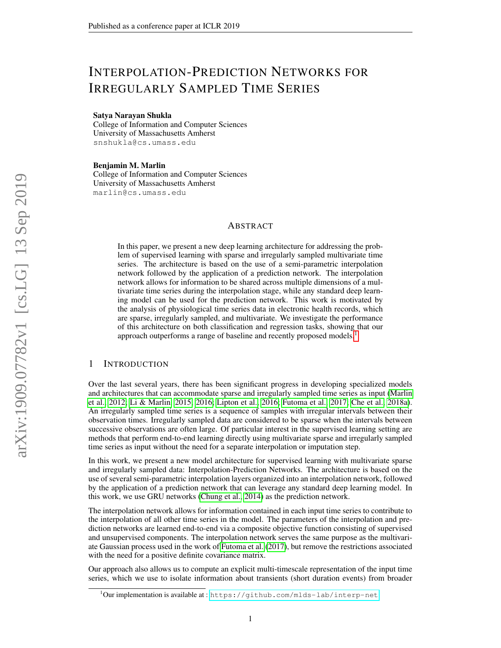# <span id="page-0-0"></span>INTERPOLATION-PREDICTION NETWORKS FOR IRREGULARLY SAMPLED TIME SERIES

#### Satya Narayan Shukla

College of Information and Computer Sciences University of Massachusetts Amherst snshukla@cs.umass.edu

#### Benjamin M. Marlin

College of Information and Computer Sciences University of Massachusetts Amherst marlin@cs.umass.edu

## ABSTRACT

In this paper, we present a new deep learning architecture for addressing the problem of supervised learning with sparse and irregularly sampled multivariate time series. The architecture is based on the use of a semi-parametric interpolation network followed by the application of a prediction network. The interpolation network allows for information to be shared across multiple dimensions of a multivariate time series during the interpolation stage, while any standard deep learning model can be used for the prediction network. This work is motivated by the analysis of physiological time series data in electronic health records, which are sparse, irregularly sampled, and multivariate. We investigate the performance of this architecture on both classification and regression tasks, showing that our approach outperforms a range of baseline and recently proposed models.<sup>1</sup>

# 1 INTRODUCTION

Over the last several years, there has been significant progress in developing specialized models and architectures that can accommodate sparse and irregularly sampled time series as input [\(Marlin](#page-9-0) [et al., 2012;](#page-9-0) [Li & Marlin, 2015;](#page-9-1) [2016;](#page-9-2) [Lipton et al., 2016;](#page-9-3) [Futoma et al., 2017;](#page-9-4) [Che et al., 2018a\)](#page-8-0). An irregularly sampled time series is a sequence of samples with irregular intervals between their observation times. Irregularly sampled data are considered to be sparse when the intervals between successive observations are often large. Of particular interest in the supervised learning setting are methods that perform end-to-end learning directly using multivariate sparse and irregularly sampled time series as input without the need for a separate interpolation or imputation step.

In this work, we present a new model architecture for supervised learning with multivariate sparse and irregularly sampled data: Interpolation-Prediction Networks. The architecture is based on the use of several semi-parametric interpolation layers organized into an interpolation network, followed by the application of a prediction network that can leverage any standard deep learning model. In this work, we use GRU networks [\(Chung et al., 2014\)](#page-8-1) as the prediction network.

The interpolation network allows for information contained in each input time series to contribute to the interpolation of all other time series in the model. The parameters of the interpolation and prediction networks are learned end-to-end via a composite objective function consisting of supervised and unsupervised components. The interpolation network serves the same purpose as the multivariate Gaussian process used in the work of [Futoma et al.](#page-9-4) [\(2017\)](#page-9-4), but remove the restrictions associated with the need for a positive definite covariance matrix.

Our approach also allows us to compute an explicit multi-timescale representation of the input time series, which we use to isolate information about transients (short duration events) from broader

<sup>&</sup>lt;sup>1</sup>Our implementation is available at : <https://github.com/mlds-lab/interp-net>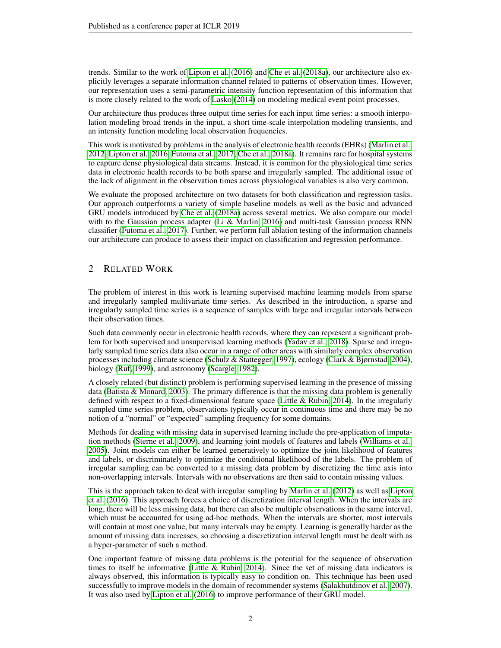trends. Similar to the work of [Lipton et al.](#page-9-3) [\(2016\)](#page-9-3) and [Che et al.](#page-8-0) [\(2018a\)](#page-8-0), our architecture also explicitly leverages a separate information channel related to patterns of observation times. However, our representation uses a semi-parametric intensity function representation of this information that is more closely related to the work of [Lasko](#page-9-5) [\(2014\)](#page-9-5) on modeling medical event point processes.

Our architecture thus produces three output time series for each input time series: a smooth interpolation modeling broad trends in the input, a short time-scale interpolation modeling transients, and an intensity function modeling local observation frequencies.

This work is motivated by problems in the analysis of electronic health records (EHRs) [\(Marlin et al.,](#page-9-0) [2012;](#page-9-0) [Lipton et al., 2016;](#page-9-3) [Futoma et al., 2017;](#page-9-4) [Che et al., 2018a\)](#page-8-0). It remains rare for hospital systems to capture dense physiological data streams. Instead, it is common for the physiological time series data in electronic health records to be both sparse and irregularly sampled. The additional issue of the lack of alignment in the observation times across physiological variables is also very common.

We evaluate the proposed architecture on two datasets for both classification and regression tasks. Our approach outperforms a variety of simple baseline models as well as the basic and advanced GRU models introduced by [Che et al.](#page-8-0) [\(2018a\)](#page-8-0) across several metrics. We also compare our model with to the Gaussian process adapter [\(Li & Marlin, 2016\)](#page-9-2) and multi-task Gaussian process RNN classifier [\(Futoma et al., 2017\)](#page-9-4). Further, we perform full ablation testing of the information channels our architecture can produce to assess their impact on classification and regression performance.

# <span id="page-1-0"></span>2 RELATED WORK

The problem of interest in this work is learning supervised machine learning models from sparse and irregularly sampled multivariate time series. As described in the introduction, a sparse and irregularly sampled time series is a sequence of samples with large and irregular intervals between their observation times.

Such data commonly occur in electronic health records, where they can represent a significant problem for both supervised and unsupervised learning methods [\(Yadav et al., 2018\)](#page-10-0). Sparse and irregularly sampled time series data also occur in a range of other areas with similarly complex observation processes including climate science [\(Schulz & Stattegger, 1997\)](#page-10-1), ecology [\(Clark & Bjørnstad, 2004\)](#page-8-2), biology [\(Ruf, 1999\)](#page-9-6), and astronomy [\(Scargle, 1982\)](#page-10-2).

A closely related (but distinct) problem is performing supervised learning in the presence of missing data [\(Batista & Monard, 2003\)](#page-8-3). The primary difference is that the missing data problem is generally defined with respect to a fixed-dimensional feature space (Little  $\&$  Rubin, 2014). In the irregularly sampled time series problem, observations typically occur in continuous time and there may be no notion of a "normal" or "expected" sampling frequency for some domains.

Methods for dealing with missing data in supervised learning include the pre-application of imputation methods [\(Sterne et al., 2009\)](#page-10-3), and learning joint models of features and labels [\(Williams et al.,](#page-10-4) [2005\)](#page-10-4). Joint models can either be learned generatively to optimize the joint likelihood of features and labels, or discriminately to optimize the conditional likelihood of the labels. The problem of irregular sampling can be converted to a missing data problem by discretizing the time axis into non-overlapping intervals. Intervals with no observations are then said to contain missing values.

This is the approach taken to deal with irregular sampling by [Marlin et al.](#page-9-0) [\(2012\)](#page-9-0) as well as [Lipton](#page-9-3) [et al.](#page-9-3) [\(2016\)](#page-9-3). This approach forces a choice of discretization interval length. When the intervals are long, there will be less missing data, but there can also be multiple observations in the same interval, which must be accounted for using ad-hoc methods. When the intervals are shorter, most intervals will contain at most one value, but many intervals may be empty. Learning is generally harder as the amount of missing data increases, so choosing a discretization interval length must be dealt with as a hyper-parameter of such a method.

One important feature of missing data problems is the potential for the sequence of observation times to itself be informative [\(Little & Rubin, 2014\)](#page-9-7). Since the set of missing data indicators is always observed, this information is typically easy to condition on. This technique has been used successfully to improve models in the domain of recommender systems [\(Salakhutdinov et al., 2007\)](#page-10-5). It was also used by [Lipton et al.](#page-9-3) [\(2016\)](#page-9-3) to improve performance of their GRU model.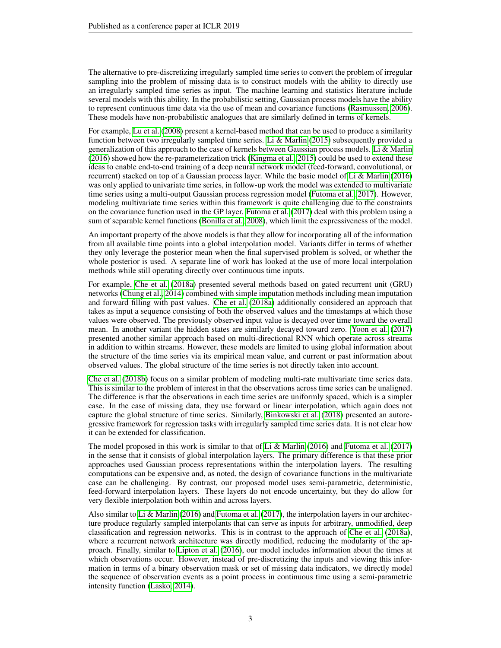The alternative to pre-discretizing irregularly sampled time series to convert the problem of irregular sampling into the problem of missing data is to construct models with the ability to directly use an irregularly sampled time series as input. The machine learning and statistics literature include several models with this ability. In the probabilistic setting, Gaussian process models have the ability to represent continuous time data via the use of mean and covariance functions [\(Rasmussen, 2006\)](#page-9-8). These models have non-probabilistic analogues that are similarly defined in terms of kernels.

For example, [Lu et al.](#page-9-9) [\(2008\)](#page-9-9) present a kernel-based method that can be used to produce a similarity function between two irregularly sampled time series. [Li & Marlin](#page-9-1) [\(2015\)](#page-9-1) subsequently provided a generalization of this approach to the case of kernels between Gaussian process models. [Li & Marlin](#page-9-2) [\(2016\)](#page-9-2) showed how the re-parameterization trick [\(Kingma et al., 2015\)](#page-9-10) could be used to extend these ideas to enable end-to-end training of a deep neural network model (feed-forward, convolutional, or recurrent) stacked on top of a Gaussian process layer. While the basic model of [Li & Marlin](#page-9-2) [\(2016\)](#page-9-2) was only applied to univariate time series, in follow-up work the model was extended to multivariate time series using a multi-output Gaussian process regression model [\(Futoma et al., 2017\)](#page-9-4). However, modeling multivariate time series within this framework is quite challenging due to the constraints on the covariance function used in the GP layer. [Futoma et al.](#page-9-4) [\(2017\)](#page-9-4) deal with this problem using a sum of separable kernel functions [\(Bonilla et al., 2008\)](#page-8-4), which limit the expressiveness of the model.

An important property of the above models is that they allow for incorporating all of the information from all available time points into a global interpolation model. Variants differ in terms of whether they only leverage the posterior mean when the final supervised problem is solved, or whether the whole posterior is used. A separate line of work has looked at the use of more local interpolation methods while still operating directly over continuous time inputs.

For example, [Che et al.](#page-8-0) [\(2018a\)](#page-8-0) presented several methods based on gated recurrent unit (GRU) networks [\(Chung et al., 2014\)](#page-8-1) combined with simple imputation methods including mean imputation and forward filling with past values. [Che et al.](#page-8-0) [\(2018a\)](#page-8-0) additionally considered an approach that takes as input a sequence consisting of both the observed values and the timestamps at which those values were observed. The previously observed input value is decayed over time toward the overall mean. In another variant the hidden states are similarly decayed toward zero. [Yoon et al.](#page-10-6) [\(2017\)](#page-10-6) presented another similar approach based on multi-directional RNN which operate across streams in addition to within streams. However, these models are limited to using global information about the structure of the time series via its empirical mean value, and current or past information about observed values. The global structure of the time series is not directly taken into account.

[Che et al.](#page-8-5) [\(2018b\)](#page-8-5) focus on a similar problem of modeling multi-rate multivariate time series data. This is similar to the problem of interest in that the observations across time series can be unaligned. The difference is that the observations in each time series are uniformly spaced, which is a simpler case. In the case of missing data, they use forward or linear interpolation, which again does not capture the global structure of time series. Similarly, [Binkowski et al.](#page-8-6) [\(2018\)](#page-8-6) presented an autoregressive framework for regression tasks with irregularly sampled time series data. It is not clear how it can be extended for classification.

The model proposed in this work is similar to that of [Li & Marlin](#page-9-2) [\(2016\)](#page-9-2) and [Futoma et al.](#page-9-4) [\(2017\)](#page-9-4) in the sense that it consists of global interpolation layers. The primary difference is that these prior approaches used Gaussian process representations within the interpolation layers. The resulting computations can be expensive and, as noted, the design of covariance functions in the multivariate case can be challenging. By contrast, our proposed model uses semi-parametric, deterministic, feed-forward interpolation layers. These layers do not encode uncertainty, but they do allow for very flexible interpolation both within and across layers.

Also similar to [Li & Marlin](#page-9-2) [\(2016\)](#page-9-2) and [Futoma et al.](#page-9-4) [\(2017\)](#page-9-4), the interpolation layers in our architecture produce regularly sampled interpolants that can serve as inputs for arbitrary, unmodified, deep classification and regression networks. This is in contrast to the approach of [Che et al.](#page-8-0) [\(2018a\)](#page-8-0), where a recurrent network architecture was directly modified, reducing the modularity of the approach. Finally, similar to [Lipton et al.](#page-9-3) [\(2016\)](#page-9-3), our model includes information about the times at which observations occur. However, instead of pre-discretizing the inputs and viewing this information in terms of a binary observation mask or set of missing data indicators, we directly model the sequence of observation events as a point process in continuous time using a semi-parametric intensity function [\(Lasko, 2014\)](#page-9-5).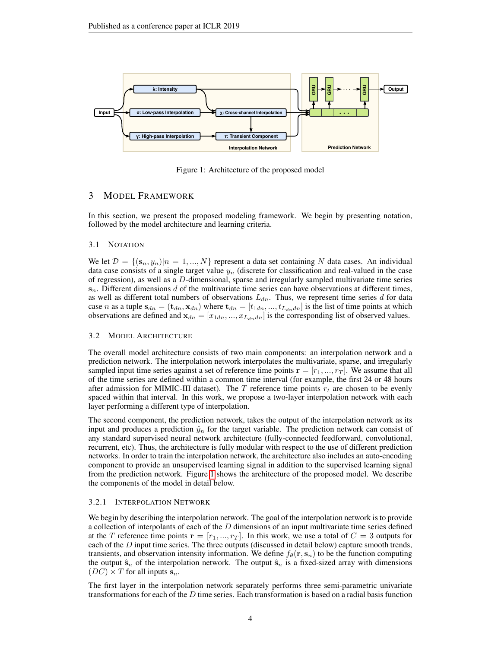<span id="page-3-0"></span>

Figure 1: Architecture of the proposed model

# 3 MODEL FRAMEWORK

In this section, we present the proposed modeling framework. We begin by presenting notation, followed by the model architecture and learning criteria.

#### 3.1 NOTATION

We let  $\mathcal{D} = \{(\mathbf{s}_n, y_n)|n = 1, ..., N\}$  represent a data set containing N data cases. An individual data case consists of a single target value  $y_n$  (discrete for classification and real-valued in the case of regression), as well as a  $D$ -dimensional, sparse and irregularly sampled multivariate time series  $s_n$ . Different dimensions d of the multivariate time series can have observations at different times, as well as different total numbers of observations  $L_{dn}$ . Thus, we represent time series d for data case *n* as a tuple  $s_{dn} = (\mathbf{t}_{dn}, \mathbf{x}_{dn})$  where  $\mathbf{t}_{dn} = [t_{1dn}, ..., t_{L_{dn}dn}]$  is the list of time points at which observations are defined and  $\mathbf{x}_{dn} = [x_{1dn},...,x_{Ldn}]\omega$  is the corresponding list of observed values.

#### 3.2 MODEL ARCHITECTURE

The overall model architecture consists of two main components: an interpolation network and a prediction network. The interpolation network interpolates the multivariate, sparse, and irregularly sampled input time series against a set of reference time points  $\mathbf{r} = [r_1, ..., r_T]$ . We assume that all of the time series are defined within a common time interval (for example, the first 24 or 48 hours after admission for MIMIC-III dataset). The T reference time points  $r_t$  are chosen to be evenly spaced within that interval. In this work, we propose a two-layer interpolation network with each layer performing a different type of interpolation.

The second component, the prediction network, takes the output of the interpolation network as its input and produces a prediction  $\hat{y}_n$  for the target variable. The prediction network can consist of any standard supervised neural network architecture (fully-connected feedforward, convolutional, recurrent, etc). Thus, the architecture is fully modular with respect to the use of different prediction networks. In order to train the interpolation network, the architecture also includes an auto-encoding component to provide an unsupervised learning signal in addition to the supervised learning signal from the prediction network. Figure [1](#page-3-0) shows the architecture of the proposed model. We describe the components of the model in detail below.

#### 3.2.1 INTERPOLATION NETWORK

We begin by describing the interpolation network. The goal of the interpolation network is to provide a collection of interpolants of each of the  $D$  dimensions of an input multivariate time series defined at the T reference time points  $\mathbf{r} = [r_1, ..., r_T]$ . In this work, we use a total of  $C = 3$  outputs for each of the  $D$  input time series. The three outputs (discussed in detail below) capture smooth trends, transients, and observation intensity information. We define  $f_{\theta}(\mathbf{r}, \mathbf{s}_n)$  to be the function computing the output  $\hat{\mathbf{s}}_n$  of the interpolation network. The output  $\hat{\mathbf{s}}_n$  is a fixed-sized array with dimensions  $(DC) \times T$  for all inputs  $s_n$ .

The first layer in the interpolation network separately performs three semi-parametric univariate transformations for each of the  $D$  time series. Each transformation is based on a radial basis function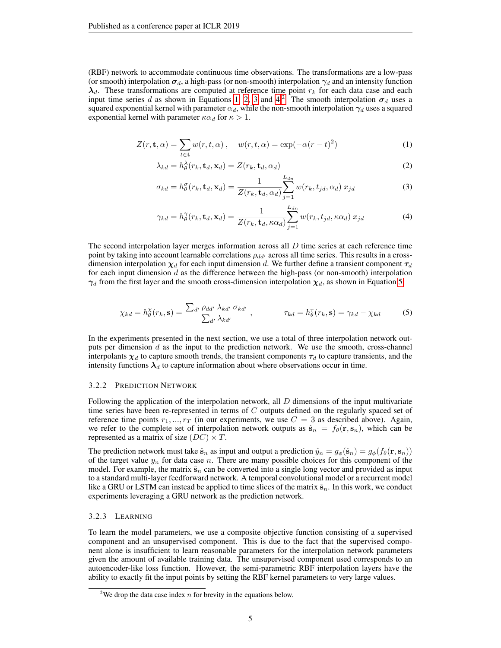(RBF) network to accommodate continuous time observations. The transformations are a low-pass (or smooth) interpolation  $\sigma_d$ , a high-pass (or non-smooth) interpolation  $\gamma_d$  and an intensity function  $\lambda_d$ . These transformations are computed at reference time point  $r_k$  for each data case and each input time series d as shown in Equations [1,](#page-4-0) [2,](#page-4-1) [3](#page-4-2) and [4.](#page-4-3)<sup>[2](#page-0-0)</sup> The smooth interpolation  $\sigma_d$  uses a squared exponential kernel with parameter  $\alpha_d$ , while the non-smooth interpolation  $\gamma_d$  uses a squared exponential kernel with parameter  $\kappa \alpha_d$  for  $\kappa > 1$ .

$$
Z(r, \mathbf{t}, \alpha) = \sum_{t \in \mathbf{t}} w(r, t, \alpha) , \quad w(r, t, \alpha) = \exp(-\alpha (r - t)^2)
$$
 (1)

<span id="page-4-0"></span>
$$
\lambda_{kd} = h_\theta^\lambda(r_k, \mathbf{t}_d, \mathbf{x}_d) = Z(r_k, \mathbf{t}_d, \alpha_d)
$$
\n(2)

<span id="page-4-2"></span><span id="page-4-1"></span>
$$
\sigma_{kd} = h^{\sigma}_{\theta}(r_k, \mathbf{t}_d, \mathbf{x}_d) = \frac{1}{Z(r_k, \mathbf{t}_d, \alpha_d)} \sum_{j=1}^{L_{dn}} w(r_k, t_{jd}, \alpha_d) x_{jd}
$$
(3)

<span id="page-4-4"></span><span id="page-4-3"></span>
$$
\gamma_{kd} = h_{\theta}^{\gamma}(r_k, \mathbf{t}_d, \mathbf{x}_d) = \frac{1}{Z(r_k, \mathbf{t}_d, \kappa \alpha_d)} \sum_{j=1}^{L_{dn}} w(r_k, t_{jd}, \kappa \alpha_d) x_{jd}
$$
(4)

The second interpolation layer merges information across all D time series at each reference time point by taking into account learnable correlations  $\rho_{dd'}$  across all time series. This results in a crossdimension interpolation  $\chi_d$  for each input dimension d. We further define a transient component  $\tau_d$ for each input dimension  $d$  as the difference between the high-pass (or non-smooth) interpolation  $\gamma_d$  from the first layer and the smooth cross-dimension interpolation  $\chi_d$ , as shown in Equation [5.](#page-4-4)

$$
\chi_{kd} = h_{\theta}^{\chi}(r_k, \mathbf{s}) = \frac{\sum_{d'} \rho_{dd'} \lambda_{kd'} \sigma_{kd'}}{\sum_{d'} \lambda_{kd'}} , \qquad \tau_{kd} = h_{\theta}^{\tau}(r_k, \mathbf{s}) = \gamma_{kd} - \chi_{kd} \tag{5}
$$

In the experiments presented in the next section, we use a total of three interpolation network outputs per dimension  $d$  as the input to the prediction network. We use the smooth, cross-channel interpolants  $\chi_d$  to capture smooth trends, the transient components  $\tau_d$  to capture transients, and the intensity functions  $\lambda_d$  to capture information about where observations occur in time.

#### 3.2.2 PREDICTION NETWORK

Following the application of the interpolation network, all  $D$  dimensions of the input multivariate time series have been re-represented in terms of  $C$  outputs defined on the regularly spaced set of reference time points  $r_1, ..., r_T$  (in our experiments, we use  $C = 3$  as described above). Again, we refer to the complete set of interpolation network outputs as  $\hat{\mathbf{s}}_n = f_\theta(\mathbf{r}, \mathbf{s}_n)$ , which can be represented as a matrix of size  $(DC) \times T$ .

The prediction network must take  $\hat{\mathbf{s}}_n$  as input and output a prediction  $\hat{y}_n = g_{\phi}(\hat{\mathbf{s}}_n) = g_{\phi}(f_{\theta}(\mathbf{r}, \mathbf{s}_n))$ of the target value  $y_n$  for data case n. There are many possible choices for this component of the model. For example, the matrix  $\hat{\mathbf{s}}_n$  can be converted into a single long vector and provided as input to a standard multi-layer feedforward network. A temporal convolutional model or a recurrent model like a GRU or LSTM can instead be applied to time slices of the matrix  $\hat{\mathbf{s}}_n$ . In this work, we conduct experiments leveraging a GRU network as the prediction network.

## 3.2.3 LEARNING

To learn the model parameters, we use a composite objective function consisting of a supervised component and an unsupervised component. This is due to the fact that the supervised component alone is insufficient to learn reasonable parameters for the interpolation network parameters given the amount of available training data. The unsupervised component used corresponds to an autoencoder-like loss function. However, the semi-parametric RBF interpolation layers have the ability to exactly fit the input points by setting the RBF kernel parameters to very large values.

<sup>&</sup>lt;sup>2</sup>We drop the data case index  $n$  for brevity in the equations below.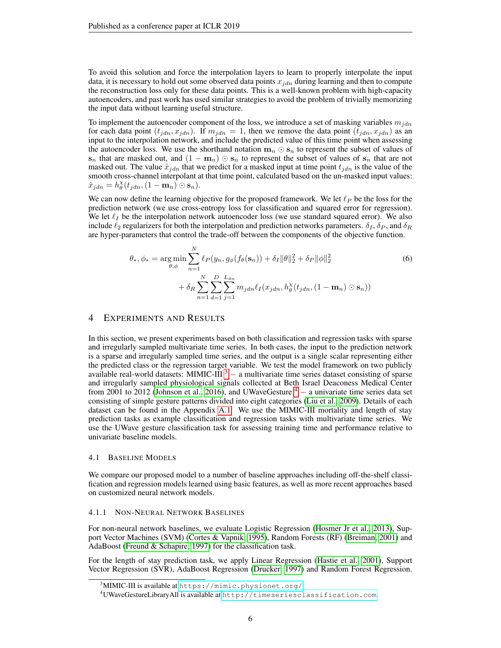To avoid this solution and force the interpolation layers to learn to properly interpolate the input data, it is necessary to hold out some observed data points  $x_{idn}$  during learning and then to compute the reconstruction loss only for these data points. This is a well-known problem with high-capacity autoencoders, and past work has used similar strategies to avoid the problem of trivially memorizing the input data without learning useful structure.

To implement the autoencoder component of the loss, we introduce a set of masking variables  $m_{idn}$ for each data point  $(t_{jdn}, x_{jdn})$ . If  $m_{jdn} = 1$ , then we remove the data point  $(t_{jdn}, x_{jdn})$  as an input to the interpolation network, and include the predicted value of this time point when assessing the autoencoder loss. We use the shorthand notation  $\mathbf{m}_n \odot \mathbf{s}_n$  to represent the subset of values of  $s_n$  that are masked out, and  $(1 - m_n) \odot s_n$  to represent the subset of values of  $s_n$  that are not masked out. The value  $\hat{x}_{jdn}$  that we predict for a masked input at time point  $t_{jdn}$  is the value of the smooth cross-channel interpolant at that time point, calculated based on the un-masked input values:  $\hat{x}_{jdn} = h_{\theta}^{\chi}(t_{jdn}, (1 - \mathbf{m}_n) \odot \mathbf{s}_n).$ 

We can now define the learning objective for the proposed framework. We let  $\ell_P$  be the loss for the prediction network (we use cross-entropy loss for classification and squared error for regression). We let  $\ell_I$  be the interpolation network autoencoder loss (we use standard squared error). We also include  $\ell_2$  regularizers for both the interpolation and prediction networks parameters.  $\delta_I$ ,  $\delta_P$ , and  $\delta_R$ are hyper-parameters that control the trade-off between the components of the objective function.

$$
\theta_{*}, \phi_{*} = \underset{\theta, \phi}{\arg \min} \sum_{n=1}^{N} \ell_{P}(y_{n}, g_{\phi}(f_{\theta}(\mathbf{s}_{n})) + \delta_{I} \|\theta\|_{2}^{2} + \delta_{P} \|\phi\|_{2}^{2} + \delta_{P} \|\phi\|_{2}^{2} + \delta_{P} \sum_{n=1}^{N} \sum_{d=1}^{N} \sum_{j=1}^{L_{dn}} m_{jdn} \ell_{I}(x_{jdn}, h_{\theta}^{\chi}(t_{jdn}, (1 - \mathbf{m}_{n}) \odot \mathbf{s}_{n}))
$$
\n(6)

# 4 EXPERIMENTS AND RESULTS

In this section, we present experiments based on both classification and regression tasks with sparse and irregularly sampled multivariate time series. In both cases, the input to the prediction network is a sparse and irregularly sampled time series, and the output is a single scalar representing either the predicted class or the regression target variable. We test the model framework on two publicly available real-world datasets: MIMIC-III<sup>[3](#page-0-0)</sup> – a multivariate time series dataset consisting of sparse and irregularly sampled physiological signals collected at Beth Israel Deaconess Medical Center from 2001 to 2012 [\(Johnson et al., 2016\)](#page-9-11), and UWaveGesture  $4 - a$  $4 - a$  univariate time series data set consisting of simple gesture patterns divided into eight categories [\(Liu et al., 2009\)](#page-9-12). Details of each dataset can be found in the Appendix [A.1.](#page-10-7) We use the MIMIC-III mortality and length of stay prediction tasks as example classification and regression tasks with multivariate time series. We use the UWave gesture classification task for assessing training time and performance relative to univariate baseline models.

## 4.1 BASELINE MODELS

We compare our proposed model to a number of baseline approaches including off-the-shelf classification and regression models learned using basic features, as well as more recent approaches based on customized neural network models.

#### 4.1.1 NON-NEURAL NETWORK BASELINES

For non-neural network baselines, we evaluate Logistic Regression [\(Hosmer Jr et al., 2013\)](#page-9-13), Support Vector Machines (SVM) [\(Cortes & Vapnik, 1995\)](#page-8-7), Random Forests (RF) [\(Breiman, 2001\)](#page-8-8) and AdaBoost [\(Freund & Schapire, 1997\)](#page-8-9) for the classification task.

For the length of stay prediction task, we apply Linear Regression [\(Hastie et al., 2001\)](#page-9-14), Support Vector Regression (SVR), AdaBoost Regression [\(Drucker, 1997\)](#page-8-10) and Random Forest Regression.

 $3^3$ MIMIC-III is available at <code><https://mimic.physionet.org/></code>

<sup>4</sup>UWaveGestureLibraryAll is available at <http://timeseriesclassification.com>.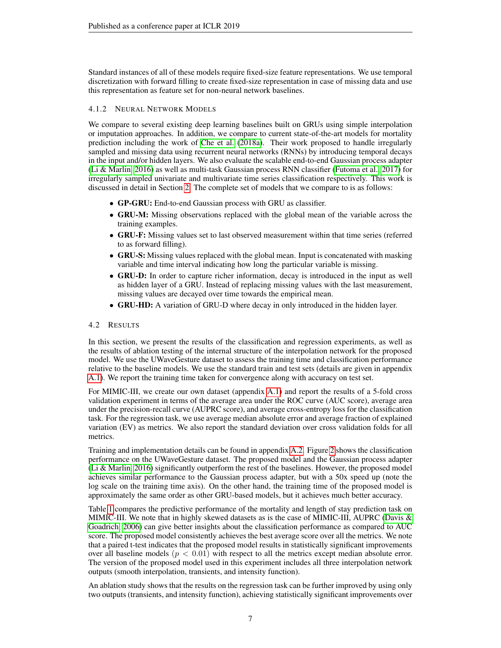Standard instances of all of these models require fixed-size feature representations. We use temporal discretization with forward filling to create fixed-size representation in case of missing data and use this representation as feature set for non-neural network baselines.

# 4.1.2 NEURAL NETWORK MODELS

We compare to several existing deep learning baselines built on GRUs using simple interpolation or imputation approaches. In addition, we compare to current state-of-the-art models for mortality prediction including the work of [Che et al.](#page-8-0) [\(2018a\)](#page-8-0). Their work proposed to handle irregularly sampled and missing data using recurrent neural networks (RNNs) by introducing temporal decays in the input and/or hidden layers. We also evaluate the scalable end-to-end Gaussian process adapter [\(Li & Marlin, 2016\)](#page-9-2) as well as multi-task Gaussian process RNN classifier [\(Futoma et al., 2017\)](#page-9-4) for irregularly sampled univariate and multivariate time series classification respectively. This work is discussed in detail in Section [2.](#page-1-0) The complete set of models that we compare to is as follows:

- GP-GRU: End-to-end Gaussian process with GRU as classifier.
- GRU-M: Missing observations replaced with the global mean of the variable across the training examples.
- GRU-F: Missing values set to last observed measurement within that time series (referred to as forward filling).
- GRU-S: Missing values replaced with the global mean. Input is concatenated with masking variable and time interval indicating how long the particular variable is missing.
- GRU-D: In order to capture richer information, decay is introduced in the input as well as hidden layer of a GRU. Instead of replacing missing values with the last measurement, missing values are decayed over time towards the empirical mean.
- GRU-HD: A variation of GRU-D where decay in only introduced in the hidden layer.

# 4.2 RESULTS

In this section, we present the results of the classification and regression experiments, as well as the results of ablation testing of the internal structure of the interpolation network for the proposed model. We use the UWaveGesture dataset to assess the training time and classification performance relative to the baseline models. We use the standard train and test sets (details are given in appendix [A.1\)](#page-10-7). We report the training time taken for convergence along with accuracy on test set.

For MIMIC-III, we create our own dataset (appendix [A.1\)](#page-10-7) and report the results of a 5-fold cross validation experiment in terms of the average area under the ROC curve (AUC score), average area under the precision-recall curve (AUPRC score), and average cross-entropy loss for the classification task. For the regression task, we use average median absolute error and average fraction of explained variation (EV) as metrics. We also report the standard deviation over cross validation folds for all metrics.

Training and implementation details can be found in appendix [A.2.](#page-11-0) Figure [2](#page-7-0) shows the classification performance on the UWaveGesture dataset. The proposed model and the Gaussian process adapter [\(Li & Marlin, 2016\)](#page-9-2) significantly outperform the rest of the baselines. However, the proposed model achieves similar performance to the Gaussian process adapter, but with a 50x speed up (note the log scale on the training time axis). On the other hand, the training time of the proposed model is approximately the same order as other GRU-based models, but it achieves much better accuracy.

Table [1](#page-7-1) compares the predictive performance of the mortality and length of stay prediction task on MIMIC-III. We note that in highly skewed datasets as is the case of MIMIC-III, AUPRC [\(Davis &](#page-8-11) [Goadrich, 2006\)](#page-8-11) can give better insights about the classification performance as compared to AUC score. The proposed model consistently achieves the best average score over all the metrics. We note that a paired t-test indicates that the proposed model results in statistically significant improvements over all baseline models  $(p < 0.01)$  with respect to all the metrics except median absolute error. The version of the proposed model used in this experiment includes all three interpolation network outputs (smooth interpolation, transients, and intensity function).

An ablation study shows that the results on the regression task can be further improved by using only two outputs (transients, and intensity function), achieving statistically significant improvements over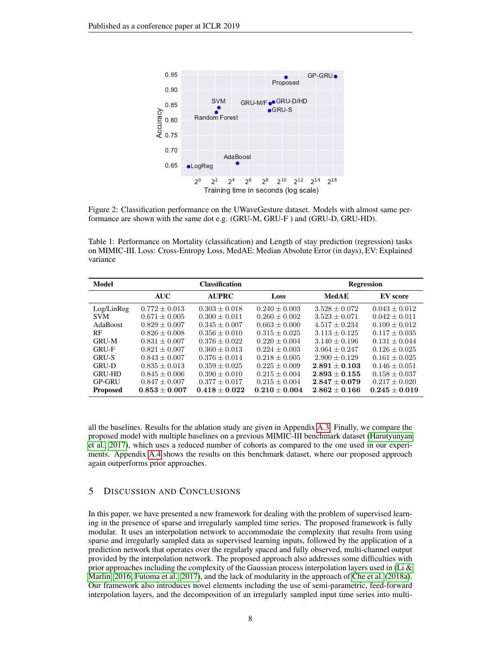<span id="page-7-0"></span>

Figure 2: Classification performance on the UWaveGesture dataset. Models with almost same performance are shown with the same dot e.g. (GRU-M, GRU-F ) and (GRU-D, GRU-HD).

<span id="page-7-1"></span>Table 1: Performance on Mortality (classification) and Length of stay prediction (regression) tasks on MIMIC-III. Loss: Cross-Entropy Loss, MedAE: Median Absolute Error (in days), EV: Explained variance

| Model           |                   | <b>Classification</b> |                   |                   | <b>Regression</b> |
|-----------------|-------------------|-----------------------|-------------------|-------------------|-------------------|
|                 | <b>AUC</b>        | <b>AUPRC</b>          | Loss              | <b>MedAE</b>      | EV score          |
| Log/LinReg      | $0.772 \pm 0.013$ | $0.303 \pm 0.018$     | $0.240 \pm 0.003$ | $3.528 \pm 0.072$ | $0.043 \pm 0.012$ |
| <b>SVM</b>      | $0.671 + 0.005$   | $0.300 + 0.011$       | $0.260 + 0.002$   | $3.523 \pm 0.071$ | $0.042 + 0.011$   |
| AdaBoost        | $0.829 + 0.007$   | $0.345 + 0.007$       | $0.663 + 0.000$   | $4.517 + 0.234$   | $0.100 \pm 0.012$ |
| <b>RF</b>       | $0.826 + 0.008$   | $0.356 + 0.010$       | $0.315 + 0.025$   | $3.113 + 0.125$   | $0.117 \pm 0.035$ |
| <b>GRU-M</b>    | $0.831 \pm 0.007$ | $0.376 \pm 0.022$     | $0.220 + 0.004$   | $3.140 \pm 0.196$ | $0.131 \pm 0.044$ |
| <b>GRU-F</b>    | $0.821 + 0.007$   | $0.360 + 0.013$       | $0.224 + 0.003$   | $3.064 + 0.247$   | $0.126 + 0.025$   |
| <b>GRU-S</b>    | $0.843 + 0.007$   | $0.376 + 0.014$       | $0.218 + 0.005$   | $2.900 + 0.129$   | $0.161 \pm 0.025$ |
| <b>GRU-D</b>    | $0.835 + 0.013$   | $0.359 + 0.025$       | $0.225 + 0.009$   | $2.891 + 0.103$   | $0.146 + 0.051$   |
| <b>GRU-HD</b>   | $0.845 \pm 0.006$ | $0.390 \pm 0.010$     | $0.215 \pm 0.004$ | $2.893 + 0.155$   | $0.158 \pm 0.037$ |
| <b>GP-GRU</b>   | $0.847 \pm 0.007$ | $0.377 \pm 0.017$     | $0.215 + 0.004$   | $2.847 + 0.079$   | $0.217 + 0.020$   |
| <b>Proposed</b> | $0.853 + 0.007$   | $0.418 + 0.022$       | $0.210 + 0.004$   | $2.862 + 0.166$   | $0.245 \pm 0.019$ |

all the baselines. Results for the ablation study are given in Appendix [A.3.](#page-12-0) Finally, we compare the proposed model with multiple baselines on a previous MIMIC-III benchmark dataset [\(Harutyunyan](#page-9-15) [et al., 2017\)](#page-9-15), which uses a reduced number of cohorts as compared to the one used in our experiments. Appendix [A.4](#page-13-0) shows the results on this benchmark dataset, where our proposed approach again outperforms prior approaches.

# 5 DISCUSSION AND CONCLUSIONS

In this paper, we have presented a new framework for dealing with the problem of supervised learning in the presence of sparse and irregularly sampled time series. The proposed framework is fully modular. It uses an interpolation network to accommodate the complexity that results from using sparse and irregularly sampled data as supervised learning inputs, followed by the application of a prediction network that operates over the regularly spaced and fully observed, multi-channel output provided by the interpolation network. The proposed approach also addresses some difficulties with prior approaches including the complexity of the Gaussian process interpolation layers used in (Li  $\&$ [Marlin, 2016;](#page-9-2) [Futoma et al., 2017\)](#page-9-4), and the lack of modularity in the approach of [Che et al.](#page-8-0) [\(2018a\)](#page-8-0). Our framework also introduces novel elements including the use of semi-parametric, feed-forward interpolation layers, and the decomposition of an irregularly sampled input time series into multi-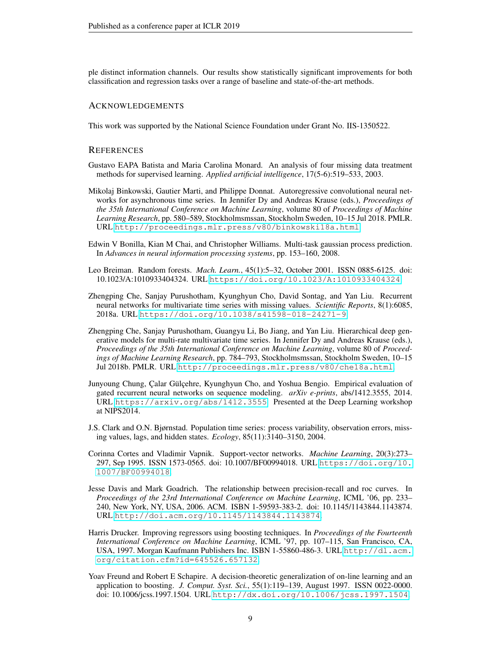ple distinct information channels. Our results show statistically significant improvements for both classification and regression tasks over a range of baseline and state-of-the-art methods.

#### ACKNOWLEDGEMENTS

This work was supported by the National Science Foundation under Grant No. IIS-1350522.

#### **REFERENCES**

- <span id="page-8-3"></span>Gustavo EAPA Batista and Maria Carolina Monard. An analysis of four missing data treatment methods for supervised learning. *Applied artificial intelligence*, 17(5-6):519–533, 2003.
- <span id="page-8-6"></span>Mikolaj Binkowski, Gautier Marti, and Philippe Donnat. Autoregressive convolutional neural networks for asynchronous time series. In Jennifer Dy and Andreas Krause (eds.), *Proceedings of the 35th International Conference on Machine Learning*, volume 80 of *Proceedings of Machine Learning Research*, pp. 580–589, Stockholmsmssan, Stockholm Sweden, 10–15 Jul 2018. PMLR. URL <http://proceedings.mlr.press/v80/binkowski18a.html>.
- <span id="page-8-4"></span>Edwin V Bonilla, Kian M Chai, and Christopher Williams. Multi-task gaussian process prediction. In *Advances in neural information processing systems*, pp. 153–160, 2008.
- <span id="page-8-8"></span>Leo Breiman. Random forests. *Mach. Learn.*, 45(1):5–32, October 2001. ISSN 0885-6125. doi: 10.1023/A:1010933404324. URL <https://doi.org/10.1023/A:1010933404324>.
- <span id="page-8-0"></span>Zhengping Che, Sanjay Purushotham, Kyunghyun Cho, David Sontag, and Yan Liu. Recurrent neural networks for multivariate time series with missing values. *Scientific Reports*, 8(1):6085, 2018a. URL <https://doi.org/10.1038/s41598-018-24271-9>.
- <span id="page-8-5"></span>Zhengping Che, Sanjay Purushotham, Guangyu Li, Bo Jiang, and Yan Liu. Hierarchical deep generative models for multi-rate multivariate time series. In Jennifer Dy and Andreas Krause (eds.), *Proceedings of the 35th International Conference on Machine Learning*, volume 80 of *Proceedings of Machine Learning Research*, pp. 784–793, Stockholmsmssan, Stockholm Sweden, 10–15 Jul 2018b. PMLR. URL <http://proceedings.mlr.press/v80/che18a.html>.
- <span id="page-8-1"></span>Junyoung Chung, Calar Gülcehre, Kyunghyun Cho, and Yoshua Bengio. Empirical evaluation of gated recurrent neural networks on sequence modeling. *arXiv e-prints*, abs/1412.3555, 2014. URL <https://arxiv.org/abs/1412.3555>. Presented at the Deep Learning workshop at NIPS2014.
- <span id="page-8-2"></span>J.S. Clark and O.N. Bjørnstad. Population time series: process variability, observation errors, missing values, lags, and hidden states. *Ecology*, 85(11):3140–3150, 2004.
- <span id="page-8-7"></span>Corinna Cortes and Vladimir Vapnik. Support-vector networks. *Machine Learning*, 20(3):273– 297, Sep 1995. ISSN 1573-0565. doi: 10.1007/BF00994018. URL [https://doi.org/10.](https://doi.org/10.1007/BF00994018) [1007/BF00994018](https://doi.org/10.1007/BF00994018).
- <span id="page-8-11"></span>Jesse Davis and Mark Goadrich. The relationship between precision-recall and roc curves. In *Proceedings of the 23rd International Conference on Machine Learning*, ICML '06, pp. 233– 240, New York, NY, USA, 2006. ACM. ISBN 1-59593-383-2. doi: 10.1145/1143844.1143874. URL <http://doi.acm.org/10.1145/1143844.1143874>.
- <span id="page-8-10"></span>Harris Drucker. Improving regressors using boosting techniques. In *Proceedings of the Fourteenth International Conference on Machine Learning*, ICML '97, pp. 107–115, San Francisco, CA, USA, 1997. Morgan Kaufmann Publishers Inc. ISBN 1-55860-486-3. URL [http://dl.acm.](http://dl.acm.org/citation.cfm?id=645526.657132) [org/citation.cfm?id=645526.657132](http://dl.acm.org/citation.cfm?id=645526.657132).
- <span id="page-8-9"></span>Yoav Freund and Robert E Schapire. A decision-theoretic generalization of on-line learning and an application to boosting. *J. Comput. Syst. Sci.*, 55(1):119–139, August 1997. ISSN 0022-0000. doi: 10.1006/jcss.1997.1504. URL <http://dx.doi.org/10.1006/jcss.1997.1504>.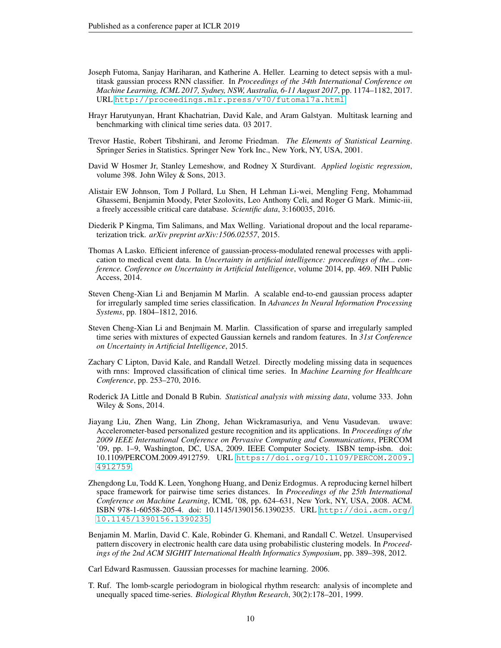- <span id="page-9-4"></span>Joseph Futoma, Sanjay Hariharan, and Katherine A. Heller. Learning to detect sepsis with a multitask gaussian process RNN classifier. In *Proceedings of the 34th International Conference on Machine Learning, ICML 2017, Sydney, NSW, Australia, 6-11 August 2017*, pp. 1174–1182, 2017. URL <http://proceedings.mlr.press/v70/futoma17a.html>.
- <span id="page-9-15"></span>Hrayr Harutyunyan, Hrant Khachatrian, David Kale, and Aram Galstyan. Multitask learning and benchmarking with clinical time series data. 03 2017.
- <span id="page-9-14"></span>Trevor Hastie, Robert Tibshirani, and Jerome Friedman. *The Elements of Statistical Learning*. Springer Series in Statistics. Springer New York Inc., New York, NY, USA, 2001.
- <span id="page-9-13"></span>David W Hosmer Jr, Stanley Lemeshow, and Rodney X Sturdivant. *Applied logistic regression*, volume 398. John Wiley & Sons, 2013.
- <span id="page-9-11"></span>Alistair EW Johnson, Tom J Pollard, Lu Shen, H Lehman Li-wei, Mengling Feng, Mohammad Ghassemi, Benjamin Moody, Peter Szolovits, Leo Anthony Celi, and Roger G Mark. Mimic-iii, a freely accessible critical care database. *Scientific data*, 3:160035, 2016.
- <span id="page-9-10"></span>Diederik P Kingma, Tim Salimans, and Max Welling. Variational dropout and the local reparameterization trick. *arXiv preprint arXiv:1506.02557*, 2015.
- <span id="page-9-5"></span>Thomas A Lasko. Efficient inference of gaussian-process-modulated renewal processes with application to medical event data. In *Uncertainty in artificial intelligence: proceedings of the... conference. Conference on Uncertainty in Artificial Intelligence*, volume 2014, pp. 469. NIH Public Access, 2014.
- <span id="page-9-2"></span>Steven Cheng-Xian Li and Benjamin M Marlin. A scalable end-to-end gaussian process adapter for irregularly sampled time series classification. In *Advances In Neural Information Processing Systems*, pp. 1804–1812, 2016.
- <span id="page-9-1"></span>Steven Cheng-Xian Li and Benjmain M. Marlin. Classification of sparse and irregularly sampled time series with mixtures of expected Gaussian kernels and random features. In *31st Conference on Uncertainty in Artificial Intelligence*, 2015.
- <span id="page-9-3"></span>Zachary C Lipton, David Kale, and Randall Wetzel. Directly modeling missing data in sequences with rnns: Improved classification of clinical time series. In *Machine Learning for Healthcare Conference*, pp. 253–270, 2016.
- <span id="page-9-7"></span>Roderick JA Little and Donald B Rubin. *Statistical analysis with missing data*, volume 333. John Wiley & Sons, 2014.
- <span id="page-9-12"></span>Jiayang Liu, Zhen Wang, Lin Zhong, Jehan Wickramasuriya, and Venu Vasudevan. uwave: Accelerometer-based personalized gesture recognition and its applications. In *Proceedings of the 2009 IEEE International Conference on Pervasive Computing and Communications*, PERCOM '09, pp. 1–9, Washington, DC, USA, 2009. IEEE Computer Society. ISBN temp-isbn. doi: 10.1109/PERCOM.2009.4912759. URL [https://doi.org/10.1109/PERCOM.2009.](https://doi.org/10.1109/PERCOM.2009.4912759) [4912759](https://doi.org/10.1109/PERCOM.2009.4912759).
- <span id="page-9-9"></span>Zhengdong Lu, Todd K. Leen, Yonghong Huang, and Deniz Erdogmus. A reproducing kernel hilbert space framework for pairwise time series distances. In *Proceedings of the 25th International Conference on Machine Learning*, ICML '08, pp. 624–631, New York, NY, USA, 2008. ACM. ISBN 978-1-60558-205-4. doi: 10.1145/1390156.1390235. URL [http://doi.acm.org/](http://doi.acm.org/10.1145/1390156.1390235) [10.1145/1390156.1390235](http://doi.acm.org/10.1145/1390156.1390235).
- <span id="page-9-0"></span>Benjamin M. Marlin, David C. Kale, Robinder G. Khemani, and Randall C. Wetzel. Unsupervised pattern discovery in electronic health care data using probabilistic clustering models. In *Proceedings of the 2nd ACM SIGHIT International Health Informatics Symposium*, pp. 389–398, 2012.

<span id="page-9-8"></span>Carl Edward Rasmussen. Gaussian processes for machine learning. 2006.

<span id="page-9-6"></span>T. Ruf. The lomb-scargle periodogram in biological rhythm research: analysis of incomplete and unequally spaced time-series. *Biological Rhythm Research*, 30(2):178–201, 1999.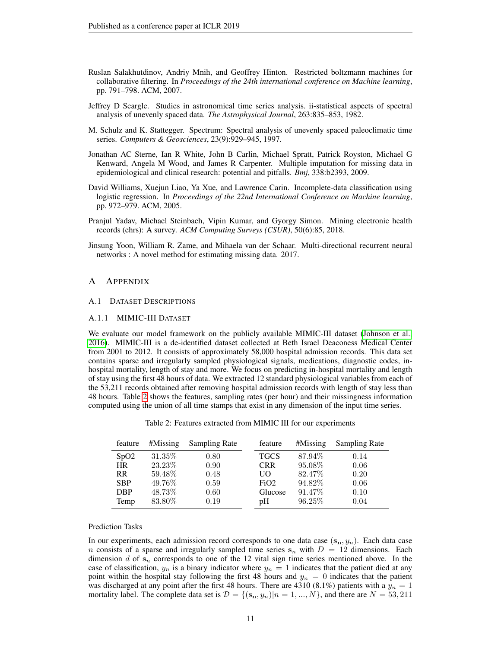- <span id="page-10-5"></span>Ruslan Salakhutdinov, Andriy Mnih, and Geoffrey Hinton. Restricted boltzmann machines for collaborative filtering. In *Proceedings of the 24th international conference on Machine learning*, pp. 791–798. ACM, 2007.
- <span id="page-10-2"></span>Jeffrey D Scargle. Studies in astronomical time series analysis. ii-statistical aspects of spectral analysis of unevenly spaced data. *The Astrophysical Journal*, 263:835–853, 1982.
- <span id="page-10-1"></span>M. Schulz and K. Stattegger. Spectrum: Spectral analysis of unevenly spaced paleoclimatic time series. *Computers & Geosciences*, 23(9):929–945, 1997.
- <span id="page-10-3"></span>Jonathan AC Sterne, Ian R White, John B Carlin, Michael Spratt, Patrick Royston, Michael G Kenward, Angela M Wood, and James R Carpenter. Multiple imputation for missing data in epidemiological and clinical research: potential and pitfalls. *Bmj*, 338:b2393, 2009.
- <span id="page-10-4"></span>David Williams, Xuejun Liao, Ya Xue, and Lawrence Carin. Incomplete-data classification using logistic regression. In *Proceedings of the 22nd International Conference on Machine learning*, pp. 972–979. ACM, 2005.
- <span id="page-10-0"></span>Pranjul Yadav, Michael Steinbach, Vipin Kumar, and Gyorgy Simon. Mining electronic health records (ehrs): A survey. *ACM Computing Surveys (CSUR)*, 50(6):85, 2018.
- <span id="page-10-6"></span>Jinsung Yoon, William R. Zame, and Mihaela van der Schaar. Multi-directional recurrent neural networks : A novel method for estimating missing data. 2017.

#### A APPENDIX

## <span id="page-10-7"></span>A.1 DATASET DESCRIPTIONS

#### A.1.1 MIMIC-III DATASET

We evaluate our model framework on the publicly available MIMIC-III dataset [\(Johnson et al.,](#page-9-11) [2016\)](#page-9-11). MIMIC-III is a de-identified dataset collected at Beth Israel Deaconess Medical Center from 2001 to 2012. It consists of approximately 58,000 hospital admission records. This data set contains sparse and irregularly sampled physiological signals, medications, diagnostic codes, inhospital mortality, length of stay and more. We focus on predicting in-hospital mortality and length of stay using the first 48 hours of data. We extracted 12 standard physiological variables from each of the 53,211 records obtained after removing hospital admission records with length of stay less than 48 hours. Table [2](#page-10-8) shows the features, sampling rates (per hour) and their missingness information computed using the union of all time stamps that exist in any dimension of the input time series.

Table 2: Features extracted from MIMIC III for our experiments

<span id="page-10-8"></span>

| feature    | $#M$ issing | Sampling Rate | feature     | #Missing | <b>Sampling Rate</b> |
|------------|-------------|---------------|-------------|----------|----------------------|
| SpO2       | 31.35\%     | 0.80          | <b>TGCS</b> | 87.94%   | 0.14                 |
| <b>HR</b>  | 23.23\%     | 0.90          | <b>CRR</b>  | 95.08%   | 0.06                 |
| <b>RR</b>  | 59.48\%     | 0.48          | UО          | 82.47\%  | 0.20                 |
| <b>SBP</b> | 49.76%      | 0.59          | FiO2        | 94.82\%  | 0.06                 |
| <b>DBP</b> | 48.73%      | 0.60          | Glucose     | 91.47\%  | 0.10                 |
| Temp       | 83.80\%     | 0.19          | pΗ          | 96.25\%  | 0.04                 |

### Prediction Tasks

In our experiments, each admission record corresponds to one data case  $(s_n, y_n)$ . Each data case n consists of a sparse and irregularly sampled time series  $s_n$  with  $D = 12$  dimensions. Each dimension d of  $s_n$  corresponds to one of the 12 vital sign time series mentioned above. In the case of classification,  $y_n$  is a binary indicator where  $y_n = 1$  indicates that the patient died at any point within the hospital stay following the first 48 hours and  $y_n = 0$  indicates that the patient was discharged at any point after the first 48 hours. There are 4310 (8.1%) patients with a  $y_n = 1$ mortality label. The complete data set is  $\mathcal{D} = \{(\mathbf{s_n}, y_n)|n = 1, ..., N\}$ , and there are  $N = 53,211$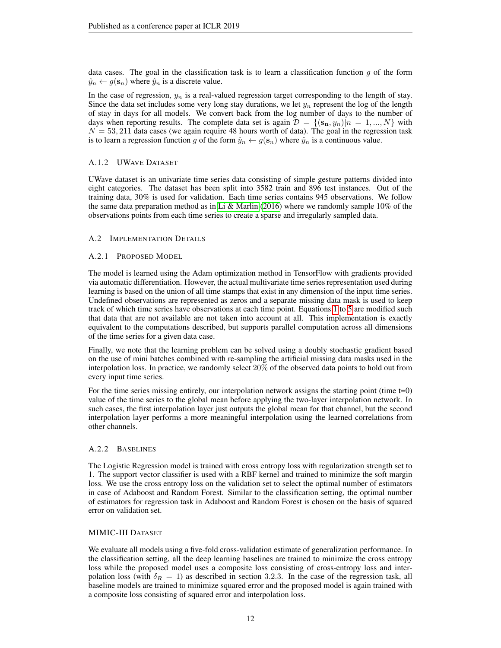data cases. The goal in the classification task is to learn a classification function  $q$  of the form  $\hat{y}_n \leftarrow g(\mathbf{s}_n)$  where  $\hat{y}_n$  is a discrete value.

In the case of regression,  $y_n$  is a real-valued regression target corresponding to the length of stay. Since the data set includes some very long stay durations, we let  $y_n$  represent the log of the length of stay in days for all models. We convert back from the log number of days to the number of days when reporting results. The complete data set is again  $\mathcal{D} = \{(\mathbf{s_n}, y_n)|n = 1, ..., N\}$  with  $N = 53,211$  data cases (we again require 48 hours worth of data). The goal in the regression task is to learn a regression function g of the form  $\hat{y}_n \leftarrow g(\mathbf{s}_n)$  where  $\hat{y}_n$  is a continuous value.

# A.1.2 UWAVE DATASET

UWave dataset is an univariate time series data consisting of simple gesture patterns divided into eight categories. The dataset has been split into 3582 train and 896 test instances. Out of the training data, 30% is used for validation. Each time series contains 945 observations. We follow the same data preparation method as in [Li & Marlin](#page-9-2) [\(2016\)](#page-9-2) where we randomly sample 10% of the observations points from each time series to create a sparse and irregularly sampled data.

# <span id="page-11-0"></span>A.2 IMPLEMENTATION DETAILS

# A.2.1 PROPOSED MODEL

The model is learned using the Adam optimization method in TensorFlow with gradients provided via automatic differentiation. However, the actual multivariate time series representation used during learning is based on the union of all time stamps that exist in any dimension of the input time series. Undefined observations are represented as zeros and a separate missing data mask is used to keep track of which time series have observations at each time point. Equations [1](#page-4-0) to [5](#page-4-4) are modified such that data that are not available are not taken into account at all. This implementation is exactly equivalent to the computations described, but supports parallel computation across all dimensions of the time series for a given data case.

Finally, we note that the learning problem can be solved using a doubly stochastic gradient based on the use of mini batches combined with re-sampling the artificial missing data masks used in the interpolation loss. In practice, we randomly select 20% of the observed data points to hold out from every input time series.

For the time series missing entirely, our interpolation network assigns the starting point (time t=0) value of the time series to the global mean before applying the two-layer interpolation network. In such cases, the first interpolation layer just outputs the global mean for that channel, but the second interpolation layer performs a more meaningful interpolation using the learned correlations from other channels.

## A.2.2 BASELINES

The Logistic Regression model is trained with cross entropy loss with regularization strength set to 1. The support vector classifier is used with a RBF kernel and trained to minimize the soft margin loss. We use the cross entropy loss on the validation set to select the optimal number of estimators in case of Adaboost and Random Forest. Similar to the classification setting, the optimal number of estimators for regression task in Adaboost and Random Forest is chosen on the basis of squared error on validation set.

## MIMIC-III DATASET

We evaluate all models using a five-fold cross-validation estimate of generalization performance. In the classification setting, all the deep learning baselines are trained to minimize the cross entropy loss while the proposed model uses a composite loss consisting of cross-entropy loss and interpolation loss (with  $\delta_R = 1$ ) as described in section 3.2.3. In the case of the regression task, all baseline models are trained to minimize squared error and the proposed model is again trained with a composite loss consisting of squared error and interpolation loss.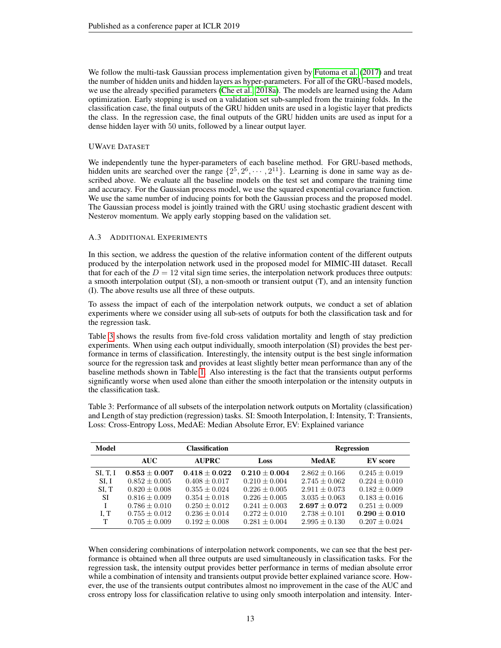We follow the multi-task Gaussian process implementation given by [Futoma et al.](#page-9-4) [\(2017\)](#page-9-4) and treat the number of hidden units and hidden layers as hyper-parameters. For all of the GRU-based models, we use the already specified parameters [\(Che et al., 2018a\)](#page-8-0). The models are learned using the Adam optimization. Early stopping is used on a validation set sub-sampled from the training folds. In the classification case, the final outputs of the GRU hidden units are used in a logistic layer that predicts the class. In the regression case, the final outputs of the GRU hidden units are used as input for a dense hidden layer with 50 units, followed by a linear output layer.

## UWAVE DATASET

We independently tune the hyper-parameters of each baseline method. For GRU-based methods, hidden units are searched over the range  $\{2^5, 2^6, \cdots, 2^{11}\}$ . Learning is done in same way as described above. We evaluate all the baseline models on the test set and compare the training time and accuracy. For the Gaussian process model, we use the squared exponential covariance function. We use the same number of inducing points for both the Gaussian process and the proposed model. The Gaussian process model is jointly trained with the GRU using stochastic gradient descent with Nesterov momentum. We apply early stopping based on the validation set.

## <span id="page-12-0"></span>A.3 ADDITIONAL EXPERIMENTS

In this section, we address the question of the relative information content of the different outputs produced by the interpolation network used in the proposed model for MIMIC-III dataset. Recall that for each of the  $D = 12$  vital sign time series, the interpolation network produces three outputs: a smooth interpolation output (SI), a non-smooth or transient output (T), and an intensity function (I). The above results use all three of these outputs.

To assess the impact of each of the interpolation network outputs, we conduct a set of ablation experiments where we consider using all sub-sets of outputs for both the classification task and for the regression task.

Table [3](#page-12-1) shows the results from five-fold cross validation mortality and length of stay prediction experiments. When using each output individually, smooth interpolation (SI) provides the best performance in terms of classification. Interestingly, the intensity output is the best single information source for the regression task and provides at least slightly better mean performance than any of the baseline methods shown in Table [1.](#page-7-1) Also interesting is the fact that the transients output performs significantly worse when used alone than either the smooth interpolation or the intensity outputs in the classification task.

<span id="page-12-1"></span>Table 3: Performance of all subsets of the interpolation network outputs on Mortality (classification) and Length of stay prediction (regression) tasks. SI: Smooth Interpolation, I: Intensity, T: Transients, Loss: Cross-Entropy Loss, MedAE: Median Absolute Error, EV: Explained variance

| Model           | <b>Classification</b> |                 |                 | <b>Regression</b> |                   |  |
|-----------------|-----------------------|-----------------|-----------------|-------------------|-------------------|--|
|                 | <b>AUC</b>            | <b>AUPRC</b>    | Loss            | <b>MedAE</b>      | EV score          |  |
| <b>SI, T, I</b> | $0.853 + 0.007$       | $0.418 + 0.022$ | $0.210 + 0.004$ | $2.862 + 0.166$   | $0.245 \pm 0.019$ |  |
| SI. I           | $0.852 + 0.005$       | $0.408 + 0.017$ | $0.210 + 0.004$ | $2.745 + 0.062$   | $0.224 + 0.010$   |  |
| SI. T           | $0.820 \pm 0.008$     | $0.355 + 0.024$ | $0.226 + 0.005$ | $2.911 + 0.073$   | $0.182 + 0.009$   |  |
| <b>SI</b>       | $0.816 + 0.009$       | $0.354 + 0.018$ | $0.226 + 0.005$ | $3.035 + 0.063$   | $0.183 + 0.016$   |  |
|                 | $0.786 \pm 0.010$     | $0.250 + 0.012$ | $0.241 + 0.003$ | $2.697 + 0.072$   | $0.251 + 0.009$   |  |
| I. T            | $0.755 + 0.012$       | $0.236 + 0.014$ | $0.272 + 0.010$ | $2.738 + 0.101$   | $0.290 + 0.010$   |  |
| Т               | $0.705 \pm 0.009$     | $0.192 + 0.008$ | $0.281 + 0.004$ | $2.995 + 0.130$   | $0.207 + 0.024$   |  |

When considering combinations of interpolation network components, we can see that the best performance is obtained when all three outputs are used simultaneously in classification tasks. For the regression task, the intensity output provides better performance in terms of median absolute error while a combination of intensity and transients output provide better explained variance score. However, the use of the transients output contributes almost no improvement in the case of the AUC and cross entropy loss for classification relative to using only smooth interpolation and intensity. Inter